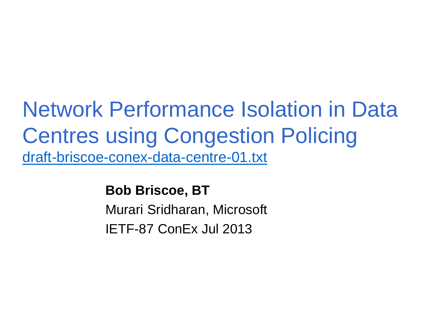## Network Performance Isolation in Data Centres using Congestion Policing [draft-briscoe-conex-data-centre-01.txt](http://www.ietf.org/id/draft-briscoe-conex-data-centre-01.txt)

**Bob Briscoe, BT**

Murari Sridharan, Microsoft IETF-87 ConEx Jul 2013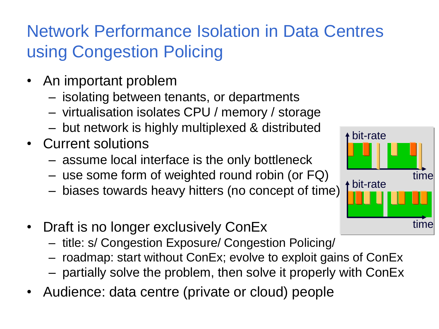#### Network Performance Isolation in Data Centres using Congestion Policing

- An important problem
	- isolating between tenants, or departments
	- virtualisation isolates CPU / memory / storage
	- but network is highly multiplexed & distributed
- Current solutions
	- assume local interface is the only bottleneck
	- use some form of weighted round robin (or FQ)
	- biases towards heavy hitters (no concept of time)
- Draft is no longer exclusively ConEx
	- title: s/ Congestion Exposure/ Congestion Policing/
	- roadmap: start without ConEx; evolve to exploit gains of ConEx
	- partially solve the problem, then solve it properly with ConEx
- Audience: data centre (private or cloud) people

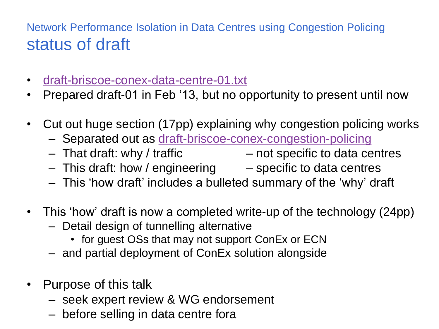#### Network Performance Isolation in Data Centres using Congestion Policing status of draft

- [draft-briscoe-conex-data-centre-01.txt](http://www.ietf.org/id/draft-briscoe-conex-data-centre-01.txt)
- Prepared draft-01 in Feb '13, but no opportunity to present until now
- Cut out huge section (17pp) explaining why congestion policing works
	- Separated out as [draft-briscoe-conex-congestion-policing](http://tools.ietf.org/html/draft-briscoe-conex-congestion-policing)
	- $-$  That draft: why / traffic  $-$  not specific to data centres
	- $-$  This draft: how / engineering  $-$  specific to data centres
	- This 'how draft' includes a bulleted summary of the 'why' draft
- This 'how' draft is now a completed write-up of the technology (24pp)
	- Detail design of tunnelling alternative
		- for guest OSs that may not support ConEx or ECN
	- and partial deployment of ConEx solution alongside
- Purpose of this talk
	- seek expert review & WG endorsement
	- before selling in data centre fora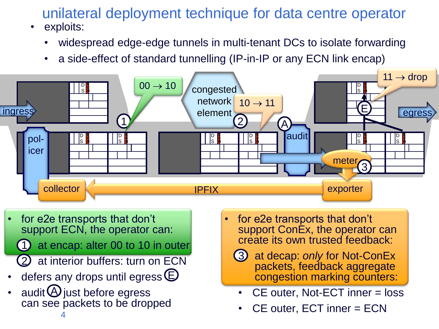#### unilateral deployment technique for data centre operator

- exploits:
	- widespread edge-edge tunnels in multi-tenant DCs to isolate forwarding
	- a side-effect of standard tunnelling (IP-in-IP or any ECN link encap)



• for e2e transports that don't support ECN, the operator can:

at encap: alter 00 to 10 in outer

- at interior buffers: turn on ECN
- defers any drops until egress  $\mathsf{\mathsf{E}}$
- audit  $\Theta$  just before egress can see packets to be dropped

4

- for e2e transports that don't support ConEx, the operator can create its own trusted feedback:
	- 3. at decap: *only* for Not-ConEx packets, feedback aggregate congestion marking counters:
	- CE outer, Not-ECT inner = loss
	- CE outer, ECT inner = ECN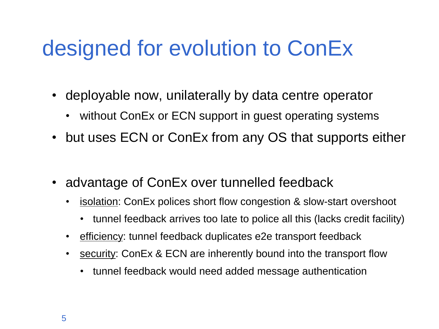## designed for evolution to ConEx

- deployable now, unilaterally by data centre operator
	- without ConEx or ECN support in guest operating systems
- but uses ECN or ConEx from any OS that supports either
- advantage of ConEx over tunnelled feedback
	- isolation: ConEx polices short flow congestion & slow-start overshoot
		- tunnel feedback arrives too late to police all this (lacks credit facility)
	- efficiency: tunnel feedback duplicates e2e transport feedback
	- security: ConEx & ECN are inherently bound into the transport flow
		- tunnel feedback would need added message authentication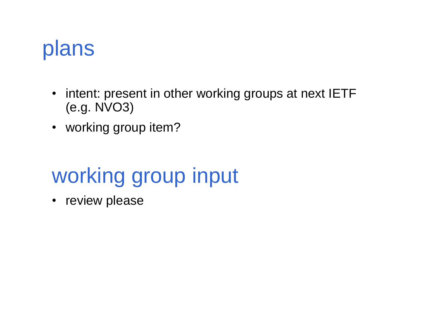## plans

- intent: present in other working groups at next IETF (e.g. NVO3)
- working group item?

# working group input

• review please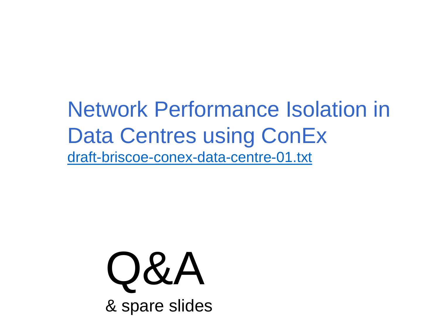Network Performance Isolation in Data Centres using ConEx [draft-briscoe-conex-data-centre-01.txt](http://www.ietf.org/id/draft-briscoe-conex-data-centre-01.txt)

Q&A

& spare slides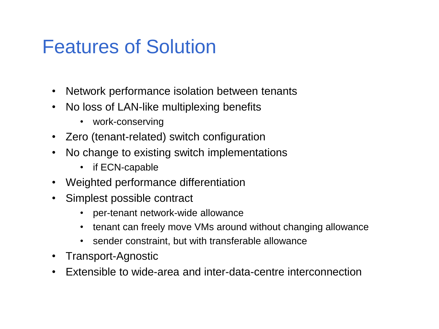### Features of Solution

- Network performance isolation between tenants
- No loss of LAN-like multiplexing benefits
	- work-conserving
- Zero (tenant-related) switch configuration
- No change to existing switch implementations
	- if ECN-capable
- Weighted performance differentiation
- Simplest possible contract
	- per-tenant network-wide allowance
	- tenant can freely move VMs around without changing allowance
	- sender constraint, but with transferable allowance
- Transport-Agnostic
- Extensible to wide-area and inter-data-centre interconnection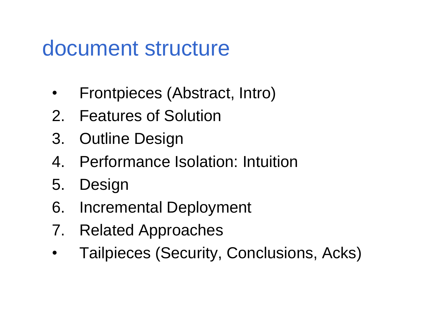### document structure

- Frontpieces (Abstract, Intro)
- 2. Features of Solution
- 3. Outline Design
- 4. Performance Isolation: Intuition
- 5. Design
- 6. Incremental Deployment
- 7. Related Approaches
- Tailpieces (Security, Conclusions, Acks)